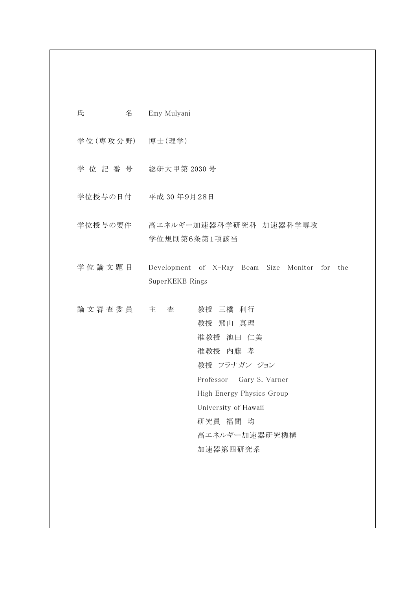| 氏 | Emy Mulyani |
|---|-------------|
|   |             |

学位 (専攻分野) 博士 (理学)

- 学 位 記 番 号 総研大甲第 2030 号
- 学位授与の日付 平成 30 年9月28日
- 学位授与の要件 高エネルギー加速器科学研究科 加速器科学専攻 学位規則第6条第1項該当
- 学 位 論 文 題 目 Development of X-Ray Beam Size Monitor for the SuperKEKB Rings
- 論 文 審 査 委 員 主 查 考授 三橋 利行 教授 飛山 真理 准教授 池田 仁美 准教授 内藤 孝 教授 フラナガン ジョン Professor Gary S. Varner High Energy Physics Group University of Hawaii 研究員 福間 均 高エネルギー加速器研究機構 加速器第四研究系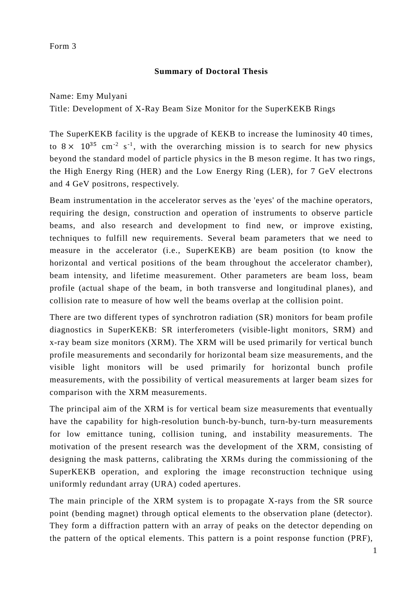### Form 3

## **Summary of Doctoral Thesis**

Name: Emy Mulyani Title: Development of X-Ray Beam Size Monitor for the SuperKEKB Rings

The SuperKEKB facility is the upgrade of KEKB to increase the luminosity 40 times, to  $8 \times 10^{35}$  cm<sup>-2</sup> s<sup>-1</sup>, with the overarching mission is to search for new physics beyond the standard model of particle physics in the B meson regime. It has two rings, the High Energy Ring (HER) and the Low Energy Ring (LER), for 7 GeV electrons and 4 GeV positrons, respectively.

Beam instrumentation in the accelerator serves as the 'eyes' of the machine operators, requiring the design, construction and operation of instruments to observe particle beams, and also research and development to find new, or improve existing, techniques to fulfill new requirements. Several beam parameters that we need to measure in the accelerator (i.e., SuperKEKB) are beam position (to know the horizontal and vertical positions of the beam throughout the accelerator chamber), beam intensity, and lifetime measurement. Other parameters are beam loss, beam profile (actual shape of the beam, in both transverse and longitudinal planes), and collision rate to measure of how well the beams overlap at the collision point.

There are two different types of synchrotron radiation (SR) monitors for beam profile diagnostics in SuperKEKB: SR interferometers (visible-light monitors, SRM) and x-ray beam size monitors (XRM). The XRM will be used primarily for vertical bunch profile measurements and secondarily for horizontal beam size measurements, and the visible light monitors will be used primarily for horizontal bunch profile measurements, with the possibility of vertical measurements at larger beam sizes for comparison with the XRM measurements.

The principal aim of the XRM is for vertical beam size measurements that eventually have the capability for high-resolution bunch-by-bunch, turn-by-turn measurements for low emittance tuning, collision tuning, and instability measurements. The motivation of the present research was the development of the XRM, consisting of designing the mask patterns, calibrating the XRMs during the commissioning of the SuperKEKB operation, and exploring the image reconstruction technique using uniformly redundant array (URA) coded apertures.

The main principle of the XRM system is to propagate X-rays from the SR source point (bending magnet) through optical elements to the observation plane (detector). They form a diffraction pattern with an array of peaks on the detector depending on the pattern of the optical elements. This pattern is a point response function (PRF),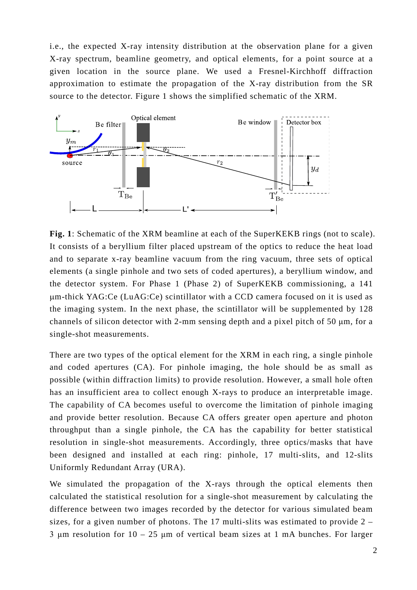i.e., the expected X-ray intensity distribution at the observation plane for a given X-ray spectrum, beamline geometry, and optical elements, for a point source at a given location in the source plane. We used a Fresnel-Kirchhoff diffraction approximation to estimate the propagation of the X-ray distribution from the SR source to the detector. Figure 1 shows the simplified schematic of the XRM.



**Fig. 1**: Schematic of the XRM beamline at each of the SuperKEKB rings (not to scale). It consists of a beryllium filter placed upstream of the optics to reduce the heat load and to separate x-ray beamline vacuum from the ring vacuum, three sets of optical elements (a single pinhole and two sets of coded apertures), a beryllium window, and the detector system. For Phase 1 (Phase 2) of SuperKEKB commissioning, a 141 µm-thick YAG:Ce (LuAG:Ce) scintillator with a CCD camera focused on it is used as the imaging system. In the next phase, the scintillator will be supplemented by 128 channels of silicon detector with 2-mm sensing depth and a pixel pitch of 50 μm, for a single-shot measurements.

There are two types of the optical element for the XRM in each ring, a single pinhole and coded apertures (CA). For pinhole imaging, the hole should be as small as possible (within diffraction limits) to provide resolution. However, a small hole often has an insufficient area to collect enough X-rays to produce an interpretable image. The capability of CA becomes useful to overcome the limitation of pinhole imaging and provide better resolution. Because CA offers greater open aperture and photon throughput than a single pinhole, the CA has the capability for better statistical resolution in single-shot measurements. Accordingly, three optics/masks that have been designed and installed at each ring: pinhole, 17 multi-slits, and 12-slits Uniformly Redundant Array (URA).

We simulated the propagation of the X-rays through the optical elements then calculated the statistical resolution for a single-shot measurement by calculating the difference between two images recorded by the detector for various simulated beam sizes, for a given number of photons. The 17 multi-slits was estimated to provide 2 – 3 μm resolution for  $10 - 25$  μm of vertical beam sizes at 1 mA bunches. For larger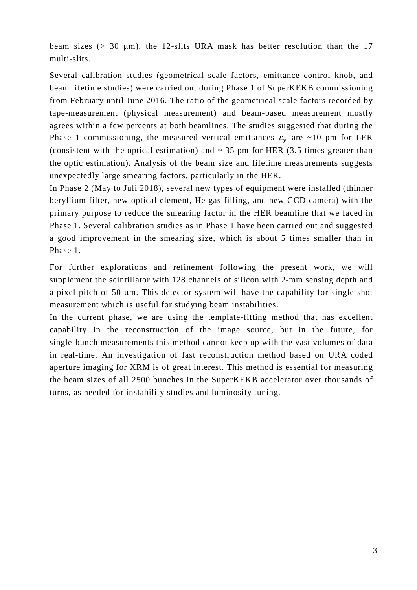beam sizes ( $> 30 \mu m$ ), the 12-slits URA mask has better resolution than the 17 multi-slits.

Several calibration studies (geometrical scale factors, emittance control knob, and beam lifetime studies) were carried out during Phase 1 of SuperKEKB commissioning from February until June 2016. The ratio of the geometrical scale factors recorded by tape-measurement (physical measurement) and beam-based measurement mostly agrees within a few percents at both beamlines. The studies suggested that during the Phase 1 commissioning, the measured vertical emittances  $\varepsilon_v$  are ~10 pm for LER (consistent with the optical estimation) and  $\sim$  35 pm for HER (3.5 times greater than the optic estimation). Analysis of the beam size and lifetime measurements suggests unexpectedly large smearing factors, particularly in the HER.

In Phase 2 (May to Juli 2018), several new types of equipment were installed (thinner beryllium filter, new optical element, He gas filling, and new CCD camera) with the primary purpose to reduce the smearing factor in the HER beamline that we faced in Phase 1. Several calibration studies as in Phase 1 have been carried out and suggested a good improvement in the smearing size, which is about 5 times smaller than in Phase 1.

For further explorations and refinement following the present work, we will supplement the scintillator with 128 channels of silicon with 2-mm sensing depth and a pixel pitch of 50 μm. This detector system will have the capability for single-shot measurement which is useful for studying beam instabilities.

In the current phase, we are using the template-fitting method that has excellent capability in the reconstruction of the image source, but in the future, for single-bunch measurements this method cannot keep up with the vast volumes of data in real-time. An investigation of fast reconstruction method based on URA coded aperture imaging for XRM is of great interest. This method is essential for measuring the beam sizes of all 2500 bunches in the SuperKEKB accelerator over thousands of turns, as needed for instability studies and luminosity tuning.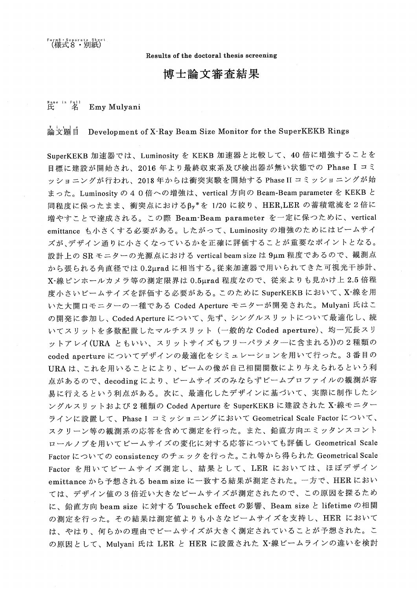Results of the doctoral thesis screening

# 博士論文審査結果

#### Name in Full<br> $H$   $A$ Emy Mulyani

#### 論文顯自 Development of X-Ray Beam Size Monitor for the SuperKEKB Rings

SuperKEKB 加速器では、Luminosity を KEKB 加速器と比較して、40 倍に増強することを 目標に建設が開始され、2016年より最終収束系及び検出器が無い状態での Phase I コミ ッショニングが行われ、2018年からは衝突実験を開始する Phase II コミッショニングが始 まった。Luminosity の 4 0 倍への増強は、vertical 方向の Beam-Beam parameter を KEKB と 同程度に保ったまま、衝突点におけるβy\*を 1/20 に絞り、HER,LER の蓄積電流を2倍に 増やすことで達成される。この際 Beam-Beam parameter を一定に保つために、vertical emittance も小さくする必要がある。したがって、Luminosity の増強のためにはビームサイ ズが、デザイン通りに小さくなっているかを正確に評価することが重要なポイントとなる。 設計上の SR モニターの光源点における vertical beam size は 9μm 程度であるので、観測点 から張られる角直径では 0.2μrad に相当する。従来加速器で用いられてきた可視光干渉計、 X-線ピンホールカメラ等の測定限界は 0.5µrad 程度なので、従来よりも見かけ上 2.5 倍程 度小さいビームサイズを評価する必要がある。このために SuperKEKB において、X·線を用 いた大開口モニターの一種である Coded Aperture モニターが開発された。Mulyani 氏はこ の開発に参加し、Coded Aperture について、先ず、シングルスリットについて最適化し、続 いてスリットを多数配置したマルチスリット (一般的な Coded aperture)、均一冗長スリ ットアレイ(URA ともいい、スリットサイズもフリーパラメターに含まれる))の2種類の coded aperture についてデザインの最適化をシミュレーションを用いて行った。3番目の URAは、これを用いることにより、ビームの像が自己相関関数により与えられるという利 点があるので、decodingにより、ビームサイズのみならずビームプロファイルの観測が容 易に行えるという利点がある。次に、最適化したデザインに基づいて、実際に制作したシ ングルスリットおよび 2 種類の Coded Aperture を SuperKEKB に建設された X·線モニター ラインに設置して、Phase I コミッショニングにおいて Geometrical Scale Factor について、 スクリーン等の観測系の応答を含めて測定を行った。また、鉛直方向エミッタンスコント ロールノブを用いてビームサイズの変化に対する応答についても評価し Geometrical Scale Factor についての consistency のチェックを行った。これ等から得られた Geometrical Scale Factor を用いてビームサイズ測定し、結果として、LER においては、ほぼデザイン emittance から予想される beam size に一致する結果が測定された。一方で、HER におい ては、デザイン値の3倍近い大きなビームサイズが測定されたので、この原因を探るため に、鉛直方向 beam size に対する Touschek effect の影響、Beam size と lifetime の相関 の測定を行った。その結果は測定値よりも小さなビームサイズを支持し、HER において は、やはり、何らかの理由でビームサイズが大きく測定されていることが予想された。こ の原因として、Mulyani 氏は LER と HER に設置された X-線ビームラインの違いを検討